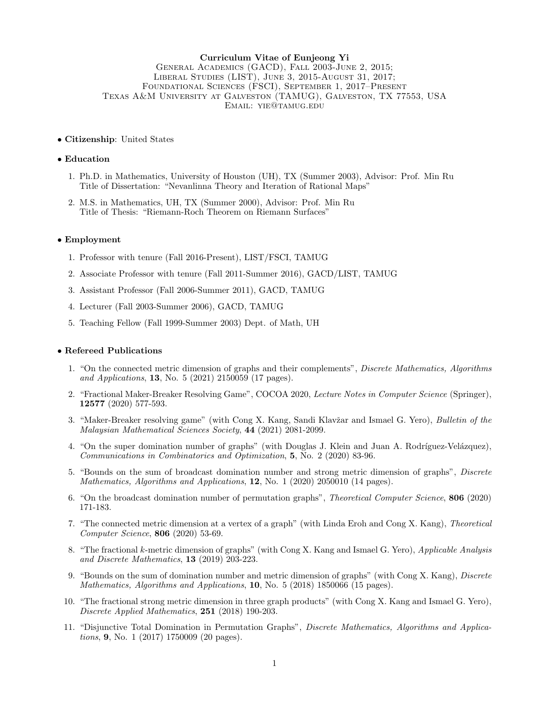# Curriculum Vitae of Eunjeong Yi General Academics (GACD), Fall 2003-June 2, 2015; Liberal Studies (LIST), June 3, 2015-August 31, 2017; Foundational Sciences (FSCI), September 1, 2017–Present Texas A&M University at Galveston (TAMUG), Galveston, TX 77553, USA Email: yie@tamug.edu

# *•* Citizenship: United States

### *•* Education

- 1. Ph.D. in Mathematics, University of Houston (UH), TX (Summer 2003), Advisor: Prof. Min Ru Title of Dissertation: "Nevanlinna Theory and Iteration of Rational Maps"
- 2. M.S. in Mathematics, UH, TX (Summer 2000), Advisor: Prof. Min Ru Title of Thesis: "Riemann-Roch Theorem on Riemann Surfaces"

# *•* Employment

- 1. Professor with tenure (Fall 2016-Present), LIST/FSCI, TAMUG
- 2. Associate Professor with tenure (Fall 2011-Summer 2016), GACD/LIST, TAMUG
- 3. Assistant Professor (Fall 2006-Summer 2011), GACD, TAMUG
- 4. Lecturer (Fall 2003-Summer 2006), GACD, TAMUG
- 5. Teaching Fellow (Fall 1999-Summer 2003) Dept. of Math, UH

# *•* Refereed Publications

- 1. "On the connected metric dimension of graphs and their complements", *Discrete Mathematics, Algorithms and Applications*, 13, No. 5 (2021) 2150059 (17 pages).
- 2. "Fractional Maker-Breaker Resolving Game", COCOA 2020, *Lecture Notes in Computer Science* (Springer), 12577 (2020) 577-593.
- 3. "Maker-Breaker resolving game" (with Cong X. Kang, Sandi Klavžar and Ismael G. Yero), *Bulletin of the Malaysian Mathematical Sciences Society*, 44 (2021) 2081-2099.
- 4. "On the super domination number of graphs" (with Douglas J. Klein and Juan A. Rodríguez-Velázquez), *Communications in Combinatorics and Optimization*, 5, No. 2 (2020) 83-96.
- 5. "Bounds on the sum of broadcast domination number and strong metric dimension of graphs", *Discrete Mathematics, Algorithms and Applications*, 12, No. 1 (2020) 2050010 (14 pages).
- 6. "On the broadcast domination number of permutation graphs", *Theoretical Computer Science*, 806 (2020) 171-183.
- 7. "The connected metric dimension at a vertex of a graph" (with Linda Eroh and Cong X. Kang), *Theoretical Computer Science*, 806 (2020) 53-69.
- 8. "The fractional *k*-metric dimension of graphs" (with Cong X. Kang and Ismael G. Yero), *Applicable Analysis and Discrete Mathematics*, 13 (2019) 203-223.
- 9. "Bounds on the sum of domination number and metric dimension of graphs" (with Cong X. Kang), *Discrete Mathematics, Algorithms and Applications*, 10, No. 5 (2018) 1850066 (15 pages).
- 10. "The fractional strong metric dimension in three graph products" (with Cong X. Kang and Ismael G. Yero), *Discrete Applied Mathematics*, 251 (2018) 190-203.
- 11. "Disjunctive Total Domination in Permutation Graphs", *Discrete Mathematics, Algorithms and Applications*, 9, No. 1 (2017) 1750009 (20 pages).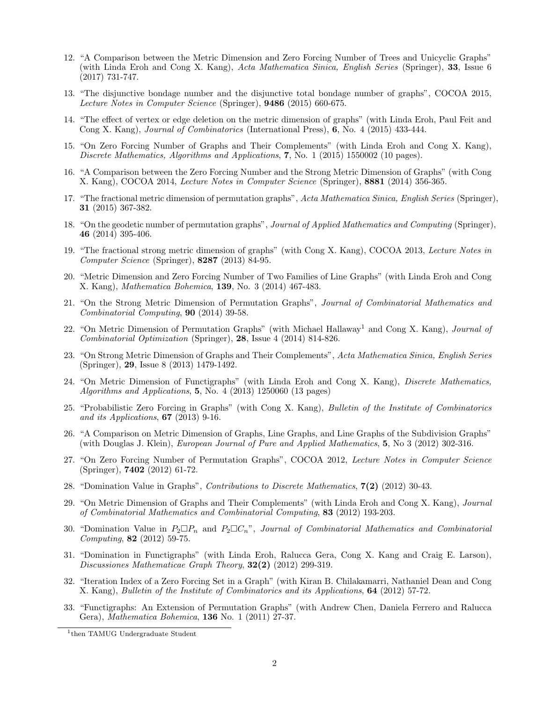- 12. "A Comparison between the Metric Dimension and Zero Forcing Number of Trees and Unicyclic Graphs" (with Linda Eroh and Cong X. Kang), *Acta Mathematica Sinica, English Series* (Springer), 33, Issue 6 (2017) 731-747.
- 13. "The disjunctive bondage number and the disjunctive total bondage number of graphs", COCOA 2015, *Lecture Notes in Computer Science* (Springer), 9486 (2015) 660-675.
- 14. "The effect of vertex or edge deletion on the metric dimension of graphs" (with Linda Eroh, Paul Feit and Cong X. Kang), *Journal of Combinatorics* (International Press), 6, No. 4 (2015) 433-444.
- 15. "On Zero Forcing Number of Graphs and Their Complements" (with Linda Eroh and Cong X. Kang), *Discrete Mathematics, Algorithms and Applications*, 7, No. 1 (2015) 1550002 (10 pages).
- 16. "A Comparison between the Zero Forcing Number and the Strong Metric Dimension of Graphs" (with Cong X. Kang), COCOA 2014, *Lecture Notes in Computer Science* (Springer), 8881 (2014) 356-365.
- 17. "The fractional metric dimension of permutation graphs", *Acta Mathematica Sinica, English Series* (Springer), 31 (2015) 367-382.
- 18. "On the geodetic number of permutation graphs", *Journal of Applied Mathematics and Computing* (Springer), 46 (2014) 395-406.
- 19. "The fractional strong metric dimension of graphs" (with Cong X. Kang), COCOA 2013, *Lecture Notes in Computer Science* (Springer), 8287 (2013) 84-95.
- 20. "Metric Dimension and Zero Forcing Number of Two Families of Line Graphs" (with Linda Eroh and Cong X. Kang), *Mathematica Bohemica*, 139, No. 3 (2014) 467-483.
- 21. "On the Strong Metric Dimension of Permutation Graphs", *Journal of Combinatorial Mathematics and Combinatorial Computing*, 90 (2014) 39-58.
- 22. "On Metric Dimension of Permutation Graphs" (with Michael Hallaway<sup>1</sup> and Cong X. Kang), *Journal of Combinatorial Optimization* (Springer), 28, Issue 4 (2014) 814-826.
- 23. "On Strong Metric Dimension of Graphs and Their Complements", *Acta Mathematica Sinica, English Series* (Springer), 29, Issue 8 (2013) 1479-1492.
- 24. "On Metric Dimension of Functigraphs" (with Linda Eroh and Cong X. Kang), *Discrete Mathematics, Algorithms and Applications*, 5, No. 4 (2013) 1250060 (13 pages)
- 25. "Probabilistic Zero Forcing in Graphs" (with Cong X. Kang), *Bulletin of the Institute of Combinatorics and its Applications*, 67 (2013) 9-16.
- 26. "A Comparison on Metric Dimension of Graphs, Line Graphs, and Line Graphs of the Subdivision Graphs" (with Douglas J. Klein), *European Journal of Pure and Applied Mathematics*, 5, No 3 (2012) 302-316.
- 27. "On Zero Forcing Number of Permutation Graphs", COCOA 2012, *Lecture Notes in Computer Science* (Springer), 7402 (2012) 61-72.
- 28. "Domination Value in Graphs", *Contributions to Discrete Mathematics*, 7(2) (2012) 30-43.
- 29. "On Metric Dimension of Graphs and Their Complements" (with Linda Eroh and Cong X. Kang), *Journal of Combinatorial Mathematics and Combinatorial Computing*, 83 (2012) 193-203.
- 30. "Domination Value in  $P_2 \Box P_n$  and  $P_2 \Box C_n$ ", *Journal of Combinatorial Mathematics and Combinatorial Computing*, 82 (2012) 59-75.
- 31. "Domination in Functigraphs" (with Linda Eroh, Ralucca Gera, Cong X. Kang and Craig E. Larson), *Discussiones Mathematicae Graph Theory*, 32(2) (2012) 299-319.
- 32. "Iteration Index of a Zero Forcing Set in a Graph" (with Kiran B. Chilakamarri, Nathaniel Dean and Cong X. Kang), *Bulletin of the Institute of Combinatorics and its Applications*, 64 (2012) 57-72.
- 33. "Functigraphs: An Extension of Permutation Graphs" (with Andrew Chen, Daniela Ferrero and Ralucca Gera), *Mathematica Bohemica*, 136 No. 1 (2011) 27-37.

<sup>&</sup>lt;sup>1</sup>then TAMUG Undergraduate Student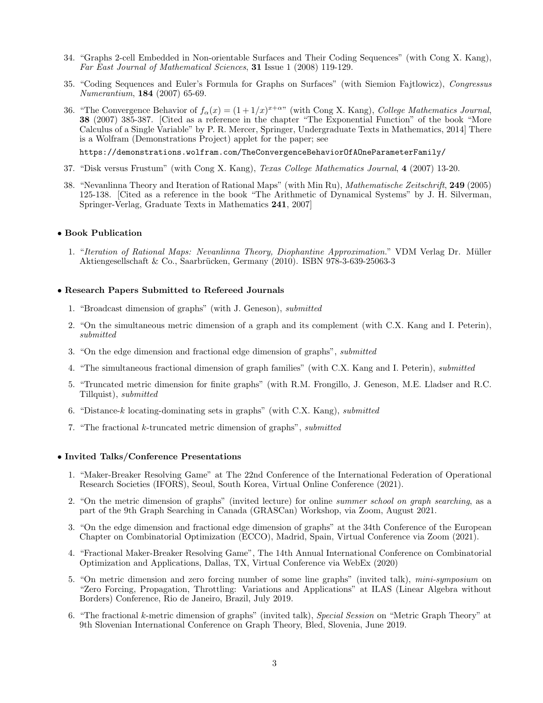- 34. "Graphs 2-cell Embedded in Non-orientable Surfaces and Their Coding Sequences" (with Cong X. Kang), *Far East Journal of Mathematical Sciences*, 31 Issue 1 (2008) 119-129.
- 35. "Coding Sequences and Euler's Formula for Graphs on Surfaces" (with Siemion Fajtlowicz), *Congressus Numerantium*, 184 (2007) 65-69.
- 36. "The Convergence Behavior of  $f_{\alpha}(x) = (1 + 1/x)^{x + \alpha}$ " (with Cong X. Kang), *College Mathematics Journal*, 38 (2007) 385-387. [Cited as a reference in the chapter "The Exponential Function" of the book "More Calculus of a Single Variable" by P. R. Mercer, Springer, Undergraduate Texts in Mathematics, 2014] There is a Wolfram (Demonstrations Project) applet for the paper; see

<https://demonstrations.wolfram.com/TheConvergenceBehaviorOfAOneParameterFamily/>

- 37. "Disk versus Frustum" (with Cong X. Kang), *Texas College Mathematics Journal*, 4 (2007) 13-20.
- 38. "Nevanlinna Theory and Iteration of Rational Maps" (with Min Ru), *Mathematische Zeitschrift*, 249 (2005) 125-138. [Cited as a reference in the book "The Arithmetic of Dynamical Systems" by J. H. Silverman, Springer-Verlag, Graduate Texts in Mathematics 241, 2007]

# *•* Book Publication

1. "*Iteration of Rational Maps: Nevanlinna Theory, Diophantine Approximation.*" VDM Verlag Dr. Müller Aktiengesellschaft  $& Co., Saarbriicken, Germany (2010). ISBN 978-3-639-25063-3$ 

#### *•* Research Papers Submitted to Refereed Journals

- 1. "Broadcast dimension of graphs" (with J. Geneson), *submitted*
- 2. "On the simultaneous metric dimension of a graph and its complement (with C.X. Kang and I. Peterin), *submitted*
- 3. "On the edge dimension and fractional edge dimension of graphs", *submitted*
- 4. "The simultaneous fractional dimension of graph families" (with C.X. Kang and I. Peterin), *submitted*
- 5. "Truncated metric dimension for finite graphs" (with R.M. Frongillo, J. Geneson, M.E. Lladser and R.C. Tillquist), *submitted*
- 6. "Distance-*k* locating-dominating sets in graphs" (with C.X. Kang), *submitted*
- 7. "The fractional *k*-truncated metric dimension of graphs", *submitted*

#### *•* Invited Talks/Conference Presentations

- 1. "Maker-Breaker Resolving Game" at The 22nd Conference of the International Federation of Operational Research Societies (IFORS), Seoul, South Korea, Virtual Online Conference (2021).
- 2. "On the metric dimension of graphs" (invited lecture) for online *summer school on graph searching*, as a part of the 9th Graph Searching in Canada (GRASCan) Workshop, via Zoom, August 2021.
- 3. "On the edge dimension and fractional edge dimension of graphs" at the 34th Conference of the European Chapter on Combinatorial Optimization (ECCO), Madrid, Spain, Virtual Conference via Zoom (2021).
- 4. "Fractional Maker-Breaker Resolving Game", The 14th Annual International Conference on Combinatorial Optimization and Applications, Dallas, TX, Virtual Conference via WebEx (2020)
- 5. "On metric dimension and zero forcing number of some line graphs" (invited talk), *mini-symposium* on "Zero Forcing, Propagation, Throttling: Variations and Applications" at ILAS (Linear Algebra without Borders) Conference, Rio de Janeiro, Brazil, July 2019.
- 6. "The fractional *k*-metric dimension of graphs" (invited talk), *Special Session* on "Metric Graph Theory" at 9th Slovenian International Conference on Graph Theory, Bled, Slovenia, June 2019.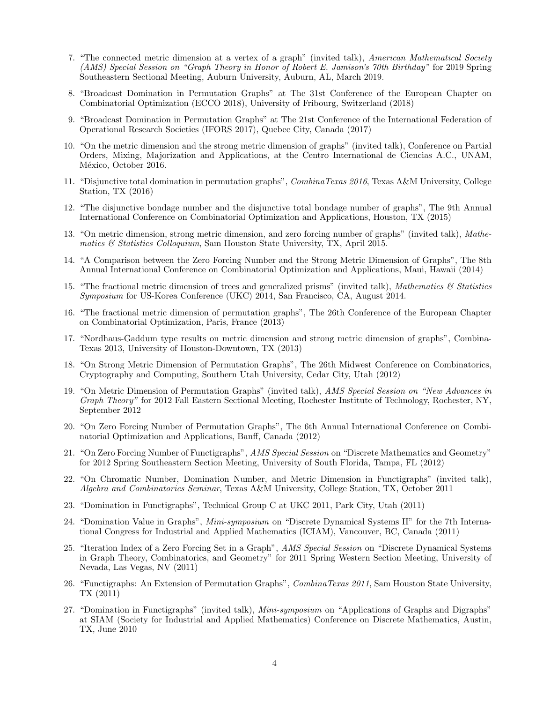- 7. "The connected metric dimension at a vertex of a graph" (invited talk), *American Mathematical Society (AMS) Special Session on "Graph Theory in Honor of Robert E. Jamison's 70th Birthday"* for 2019 Spring Southeastern Sectional Meeting, Auburn University, Auburn, AL, March 2019.
- 8. "Broadcast Domination in Permutation Graphs" at The 31st Conference of the European Chapter on Combinatorial Optimization (ECCO 2018), University of Fribourg, Switzerland (2018)
- 9. "Broadcast Domination in Permutation Graphs" at The 21st Conference of the International Federation of Operational Research Societies (IFORS 2017), Quebec City, Canada (2017)
- 10. "On the metric dimension and the strong metric dimension of graphs" (invited talk), Conference on Partial Orders, Mixing, Majorization and Applications, at the Centro International de Ciencias A.C., UNAM, México, October 2016.
- 11. "Disjunctive total domination in permutation graphs", *CombinaTexas 2016*, Texas A&M University, College Station, TX (2016)
- 12. "The disjunctive bondage number and the disjunctive total bondage number of graphs", The 9th Annual International Conference on Combinatorial Optimization and Applications, Houston, TX (2015)
- 13. "On metric dimension, strong metric dimension, and zero forcing number of graphs" (invited talk), *Mathematics & Statistics Colloquium*, Sam Houston State University, TX, April 2015.
- 14. "A Comparison between the Zero Forcing Number and the Strong Metric Dimension of Graphs", The 8th Annual International Conference on Combinatorial Optimization and Applications, Maui, Hawaii (2014)
- 15. "The fractional metric dimension of trees and generalized prisms" (invited talk), *Mathematics & Statistics Symposium* for US-Korea Conference (UKC) 2014, San Francisco, CA, August 2014.
- 16. "The fractional metric dimension of permutation graphs", The 26th Conference of the European Chapter on Combinatorial Optimization, Paris, France (2013)
- 17. "Nordhaus-Gaddum type results on metric dimension and strong metric dimension of graphs", Combina-Texas 2013, University of Houston-Downtown, TX (2013)
- 18. "On Strong Metric Dimension of Permutation Graphs", The 26th Midwest Conference on Combinatorics, Cryptography and Computing, Southern Utah University, Cedar City, Utah (2012)
- 19. "On Metric Dimension of Permutation Graphs" (invited talk), *AMS Special Session on "New Advances in Graph Theory"* for 2012 Fall Eastern Sectional Meeting, Rochester Institute of Technology, Rochester, NY, September 2012
- 20. "On Zero Forcing Number of Permutation Graphs", The 6th Annual International Conference on Combinatorial Optimization and Applications, Banff, Canada (2012)
- 21. "On Zero Forcing Number of Functigraphs", *AMS Special Session* on "Discrete Mathematics and Geometry" for 2012 Spring Southeastern Section Meeting, University of South Florida, Tampa, FL (2012)
- 22. "On Chromatic Number, Domination Number, and Metric Dimension in Functigraphs" (invited talk), *Algebra and Combinatorics Seminar*, Texas A&M University, College Station, TX, October 2011
- 23. "Domination in Functigraphs", Technical Group C at UKC 2011, Park City, Utah (2011)
- 24. "Domination Value in Graphs", *Mini-symposium* on "Discrete Dynamical Systems II" for the 7th International Congress for Industrial and Applied Mathematics (ICIAM), Vancouver, BC, Canada (2011)
- 25. "Iteration Index of a Zero Forcing Set in a Graph", *AMS Special Session* on "Discrete Dynamical Systems in Graph Theory, Combinatorics, and Geometry" for 2011 Spring Western Section Meeting, University of Nevada, Las Vegas, NV (2011)
- 26. "Functigraphs: An Extension of Permutation Graphs", *CombinaTexas 2011*, Sam Houston State University, TX (2011)
- 27. "Domination in Functigraphs" (invited talk), *Mini-symposium* on "Applications of Graphs and Digraphs" at SIAM (Society for Industrial and Applied Mathematics) Conference on Discrete Mathematics, Austin, TX, June 2010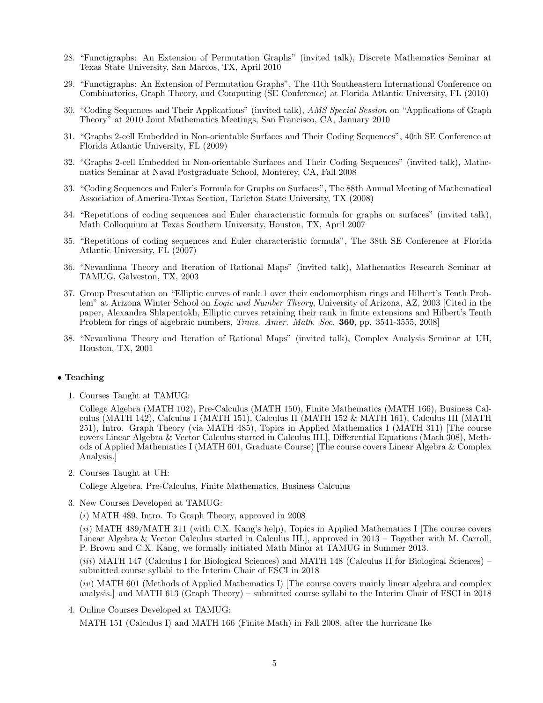- 28. "Functigraphs: An Extension of Permutation Graphs" (invited talk), Discrete Mathematics Seminar at Texas State University, San Marcos, TX, April 2010
- 29. "Functigraphs: An Extension of Permutation Graphs", The 41th Southeastern International Conference on Combinatorics, Graph Theory, and Computing (SE Conference) at Florida Atlantic University, FL (2010)
- 30. "Coding Sequences and Their Applications" (invited talk), *AMS Special Session* on "Applications of Graph Theory" at 2010 Joint Mathematics Meetings, San Francisco, CA, January 2010
- 31. "Graphs 2-cell Embedded in Non-orientable Surfaces and Their Coding Sequences", 40th SE Conference at Florida Atlantic University, FL (2009)
- 32. "Graphs 2-cell Embedded in Non-orientable Surfaces and Their Coding Sequences" (invited talk), Mathematics Seminar at Naval Postgraduate School, Monterey, CA, Fall 2008
- 33. "Coding Sequences and Euler's Formula for Graphs on Surfaces", The 88th Annual Meeting of Mathematical Association of America-Texas Section, Tarleton State University, TX (2008)
- 34. "Repetitions of coding sequences and Euler characteristic formula for graphs on surfaces" (invited talk), Math Colloquium at Texas Southern University, Houston, TX, April 2007
- 35. "Repetitions of coding sequences and Euler characteristic formula", The 38th SE Conference at Florida Atlantic University, FL (2007)
- 36. "Nevanlinna Theory and Iteration of Rational Maps" (invited talk), Mathematics Research Seminar at TAMUG, Galveston, TX, 2003
- 37. Group Presentation on "Elliptic curves of rank 1 over their endomorphism rings and Hilbert's Tenth Problem" at Arizona Winter School on *Logic and Number Theory*, University of Arizona, AZ, 2003 [Cited in the paper, Alexandra Shlapentokh, Elliptic curves retaining their rank in finite extensions and Hilbert's Tenth Problem for rings of algebraic numbers, *Trans. Amer. Math. Soc.* 360, pp. 3541-3555, 2008]
- 38. "Nevanlinna Theory and Iteration of Rational Maps" (invited talk), Complex Analysis Seminar at UH, Houston, TX, 2001

### *•* Teaching

1. Courses Taught at TAMUG:

College Algebra (MATH 102), Pre-Calculus (MATH 150), Finite Mathematics (MATH 166), Business Calculus (MATH 142), Calculus I (MATH 151), Calculus II (MATH 152 & MATH 161), Calculus III (MATH 251), Intro. Graph Theory (via MATH 485), Topics in Applied Mathematics I (MATH 311) [The course covers Linear Algebra & Vector Calculus started in Calculus III., Differential Equations (Math 308), Methods of Applied Mathematics I (MATH 601, Graduate Course) [The course covers Linear Algebra & Complex Analysis.]

2. Courses Taught at UH:

College Algebra, Pre-Calculus, Finite Mathematics, Business Calculus

3. New Courses Developed at TAMUG:

(*i*) MATH 489, Intro. To Graph Theory, approved in 2008

(*ii*) MATH 489/MATH 311 (with C.X. Kang's help), Topics in Applied Mathematics I [The course covers Linear Algebra & Vector Calculus started in Calculus III.], approved in 2013 – Together with M. Carroll, P. Brown and C.X. Kang, we formally initiated Math Minor at TAMUG in Summer 2013.

(*iii*) MATH 147 (Calculus I for Biological Sciences) and MATH 148 (Calculus II for Biological Sciences) – submitted course syllabi to the Interim Chair of FSCI in 2018

(*iv*) MATH 601 (Methods of Applied Mathematics I) [The course covers mainly linear algebra and complex analysis.] and MATH 613 (Graph Theory) – submitted course syllabi to the Interim Chair of FSCI in 2018

4. Online Courses Developed at TAMUG:

MATH 151 (Calculus I) and MATH 166 (Finite Math) in Fall 2008, after the hurricane Ike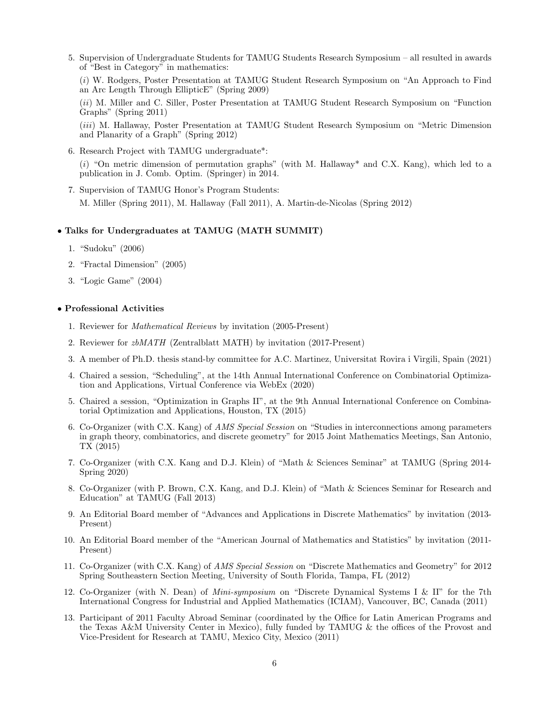5. Supervision of Undergraduate Students for TAMUG Students Research Symposium – all resulted in awards of "Best in Category" in mathematics:

(*i*) W. Rodgers, Poster Presentation at TAMUG Student Research Symposium on "An Approach to Find an Arc Length Through EllipticE" (Spring 2009)

(*ii*) M. Miller and C. Siller, Poster Presentation at TAMUG Student Research Symposium on "Function Graphs" (Spring 2011)

(*iii*) M. Hallaway, Poster Presentation at TAMUG Student Research Symposium on "Metric Dimension and Planarity of a Graph" (Spring 2012)

6. Research Project with TAMUG undergraduate\*:

(*i*) "On metric dimension of permutation graphs" (with M. Hallaway\* and C.X. Kang), which led to a publication in J. Comb. Optim. (Springer) in 2014.

7. Supervision of TAMUG Honor's Program Students: M. Miller (Spring 2011), M. Hallaway (Fall 2011), A. Martin-de-Nicolas (Spring 2012)

# *•* Talks for Undergraduates at TAMUG (MATH SUMMIT)

- 1. "Sudoku" (2006)
- 2. "Fractal Dimension" (2005)
- 3. "Logic Game" (2004)

### *•* Professional Activities

- 1. Reviewer for *Mathematical Reviews* by invitation (2005-Present)
- 2. Reviewer for *zbMATH* (Zentralblatt MATH) by invitation (2017-Present)
- 3. A member of Ph.D. thesis stand-by committee for A.C. Martinez, Universitat Rovira i Virgili, Spain (2021)
- 4. Chaired a session, "Scheduling", at the 14th Annual International Conference on Combinatorial Optimization and Applications, Virtual Conference via WebEx (2020)
- 5. Chaired a session, "Optimization in Graphs II", at the 9th Annual International Conference on Combinatorial Optimization and Applications, Houston, TX (2015)
- 6. Co-Organizer (with C.X. Kang) of *AMS Special Session* on "Studies in interconnections among parameters in graph theory, combinatorics, and discrete geometry" for 2015 Joint Mathematics Meetings, San Antonio, TX (2015)
- 7. Co-Organizer (with C.X. Kang and D.J. Klein) of "Math & Sciences Seminar" at TAMUG (Spring 2014- Spring 2020)
- 8. Co-Organizer (with P. Brown, C.X. Kang, and D.J. Klein) of "Math & Sciences Seminar for Research and Education" at TAMUG (Fall 2013)
- 9. An Editorial Board member of "Advances and Applications in Discrete Mathematics" by invitation (2013- Present)
- 10. An Editorial Board member of the "American Journal of Mathematics and Statistics" by invitation (2011- Present)
- 11. Co-Organizer (with C.X. Kang) of *AMS Special Session* on "Discrete Mathematics and Geometry" for 2012 Spring Southeastern Section Meeting, University of South Florida, Tampa, FL (2012)
- 12. Co-Organizer (with N. Dean) of *Mini-symposium* on "Discrete Dynamical Systems I & II" for the 7th International Congress for Industrial and Applied Mathematics (ICIAM), Vancouver, BC, Canada (2011)
- 13. Participant of 2011 Faculty Abroad Seminar (coordinated by the Office for Latin American Programs and the Texas A&M University Center in Mexico), fully funded by TAMUG & the offices of the Provost and Vice-President for Research at TAMU, Mexico City, Mexico (2011)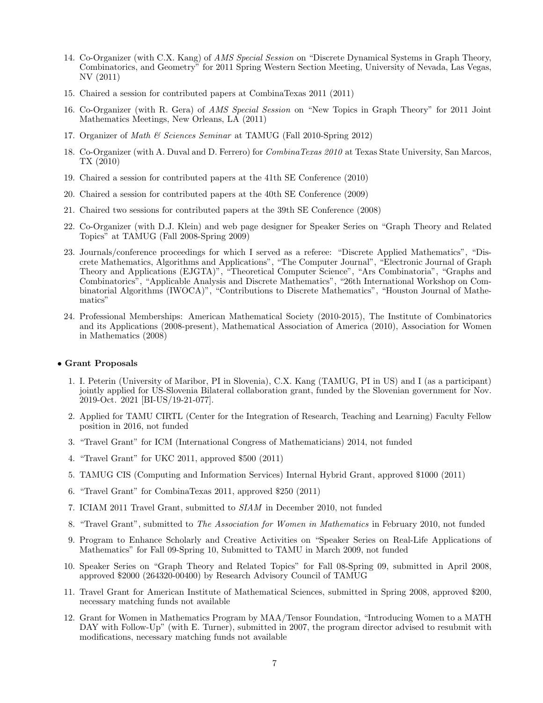- 14. Co-Organizer (with C.X. Kang) of *AMS Special Session* on "Discrete Dynamical Systems in Graph Theory, Combinatorics, and Geometry" for 2011 Spring Western Section Meeting, University of Nevada, Las Vegas, NV (2011)
- 15. Chaired a session for contributed papers at CombinaTexas 2011 (2011)
- 16. Co-Organizer (with R. Gera) of *AMS Special Session* on "New Topics in Graph Theory" for 2011 Joint Mathematics Meetings, New Orleans, LA (2011)
- 17. Organizer of *Math & Sciences Seminar* at TAMUG (Fall 2010-Spring 2012)
- 18. Co-Organizer (with A. Duval and D. Ferrero) for *CombinaTexas 2010* at Texas State University, San Marcos, TX (2010)
- 19. Chaired a session for contributed papers at the 41th SE Conference (2010)
- 20. Chaired a session for contributed papers at the 40th SE Conference (2009)
- 21. Chaired two sessions for contributed papers at the 39th SE Conference (2008)
- 22. Co-Organizer (with D.J. Klein) and web page designer for Speaker Series on "Graph Theory and Related Topics" at TAMUG (Fall 2008-Spring 2009)
- 23. Journals/conference proceedings for which I served as a referee: "Discrete Applied Mathematics", "Discrete Mathematics, Algorithms and Applications", "The Computer Journal", "Electronic Journal of Graph Theory and Applications (EJGTA)", "Theoretical Computer Science", "Ars Combinatoria", "Graphs and Combinatorics", "Applicable Analysis and Discrete Mathematics", "26th International Workshop on Combinatorial Algorithms (IWOCA)", "Contributions to Discrete Mathematics", "Houston Journal of Mathematics"
- 24. Professional Memberships: American Mathematical Society (2010-2015), The Institute of Combinatorics and its Applications (2008-present), Mathematical Association of America (2010), Association for Women in Mathematics (2008)

### *•* Grant Proposals

- 1. I. Peterin (University of Maribor, PI in Slovenia), C.X. Kang (TAMUG, PI in US) and I (as a participant) jointly applied for US-Slovenia Bilateral collaboration grant, funded by the Slovenian government for Nov. 2019-Oct. 2021 [BI-US/19-21-077].
- 2. Applied for TAMU CIRTL (Center for the Integration of Research, Teaching and Learning) Faculty Fellow position in 2016, not funded
- 3. "Travel Grant" for ICM (International Congress of Mathematicians) 2014, not funded
- 4. "Travel Grant" for UKC 2011, approved \$500 (2011)
- 5. TAMUG CIS (Computing and Information Services) Internal Hybrid Grant, approved \$1000 (2011)
- 6. "Travel Grant" for CombinaTexas 2011, approved \$250 (2011)
- 7. ICIAM 2011 Travel Grant, submitted to *SIAM* in December 2010, not funded
- 8. "Travel Grant", submitted to *The Association for Women in Mathematics* in February 2010, not funded
- 9. Program to Enhance Scholarly and Creative Activities on "Speaker Series on Real-Life Applications of Mathematics" for Fall 09-Spring 10, Submitted to TAMU in March 2009, not funded
- 10. Speaker Series on "Graph Theory and Related Topics" for Fall 08-Spring 09, submitted in April 2008, approved \$2000 (264320-00400) by Research Advisory Council of TAMUG
- 11. Travel Grant for American Institute of Mathematical Sciences, submitted in Spring 2008, approved \$200, necessary matching funds not available
- 12. Grant for Women in Mathematics Program by MAA/Tensor Foundation, "Introducing Women to a MATH DAY with Follow-Up" (with E. Turner), submitted in 2007, the program director advised to resubmit with modifications, necessary matching funds not available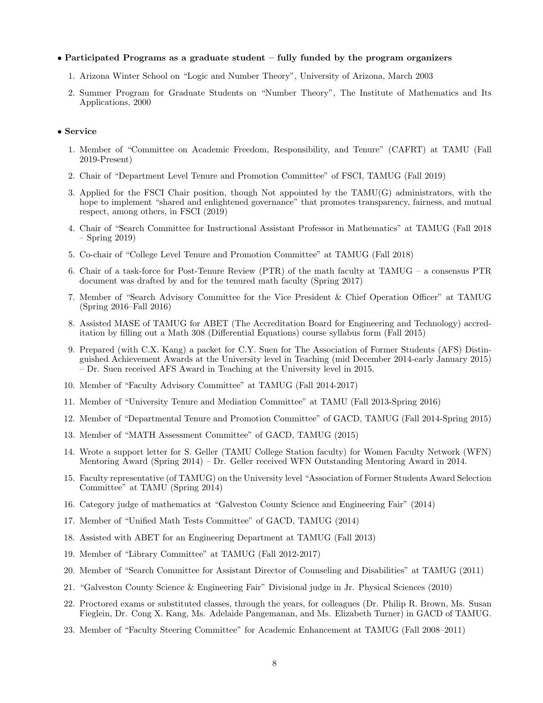### • Participated Programs as a graduate student – fully funded by the program organizers

- 1. Arizona Winter School on "Logic and Number Theory", University of Arizona, March 2003
- 2. Summer Program for Graduate Students on "Number Theory", The Institute of Mathematics and Its Applications, 2000

### *•* Service

- 1. Member of "Committee on Academic Freedom, Responsibility, and Tenure" (CAFRT) at TAMU (Fall 2019-Present)
- 2. Chair of "Department Level Tenure and Promotion Committee" of FSCI, TAMUG (Fall 2019)
- 3. Applied for the FSCI Chair position, though Not appointed by the TAMU(G) administrators, with the hope to implement "shared and enlightened governance" that promotes transparency, fairness, and mutual respect, among others, in FSCI (2019)
- 4. Chair of "Search Committee for Instructional Assistant Professor in Mathematics" at TAMUG (Fall 2018 – Spring 2019)
- 5. Co-chair of "College Level Tenure and Promotion Committee" at TAMUG (Fall 2018)
- 6. Chair of a task-force for Post-Tenure Review (PTR) of the math faculty at TAMUG a consensus PTR document was drafted by and for the tenured math faculty (Spring 2017)
- 7. Member of "Search Advisory Committee for the Vice President & Chief Operation Officer" at TAMUG (Spring 2016–Fall 2016)
- 8. Assisted MASE of TAMUG for ABET (The Accreditation Board for Engineering and Technology) accreditation by filling out a Math 308 (Differential Equations) course syllabus form (Fall 2015)
- 9. Prepared (with C.X. Kang) a packet for C.Y. Suen for The Association of Former Students (AFS) Distinguished Achievement Awards at the University level in Teaching (mid December 2014-early January 2015) – Dr. Suen received AFS Award in Teaching at the University level in 2015.
- 10. Member of "Faculty Advisory Committee" at TAMUG (Fall 2014-2017)
- 11. Member of "University Tenure and Mediation Committee" at TAMU (Fall 2013-Spring 2016)
- 12. Member of "Departmental Tenure and Promotion Committee" of GACD, TAMUG (Fall 2014-Spring 2015)
- 13. Member of "MATH Assessment Committee" of GACD, TAMUG (2015)
- 14. Wrote a support letter for S. Geller (TAMU College Station faculty) for Women Faculty Network (WFN) Mentoring Award (Spring 2014) – Dr. Geller received WFN Outstanding Mentoring Award in 2014.
- 15. Faculty representative (of TAMUG) on the University level "Association of Former Students Award Selection Committee" at TAMU (Spring 2014)
- 16. Category judge of mathematics at "Galveston County Science and Engineering Fair" (2014)
- 17. Member of "Unified Math Tests Committee" of GACD, TAMUG (2014)
- 18. Assisted with ABET for an Engineering Department at TAMUG (Fall 2013)
- 19. Member of "Library Committee" at TAMUG (Fall 2012-2017)
- 20. Member of "Search Committee for Assistant Director of Counseling and Disabilities" at TAMUG (2011)
- 21. "Galveston County Science & Engineering Fair" Divisional judge in Jr. Physical Sciences (2010)
- 22. Proctored exams or substituted classes, through the years, for colleagues (Dr. Philip R. Brown, Ms. Susan Fieglein, Dr. Cong X. Kang, Ms. Adelaide Pangemanan, and Ms. Elizabeth Turner) in GACD of TAMUG.
- 23. Member of "Faculty Steering Committee" for Academic Enhancement at TAMUG (Fall 2008–2011)